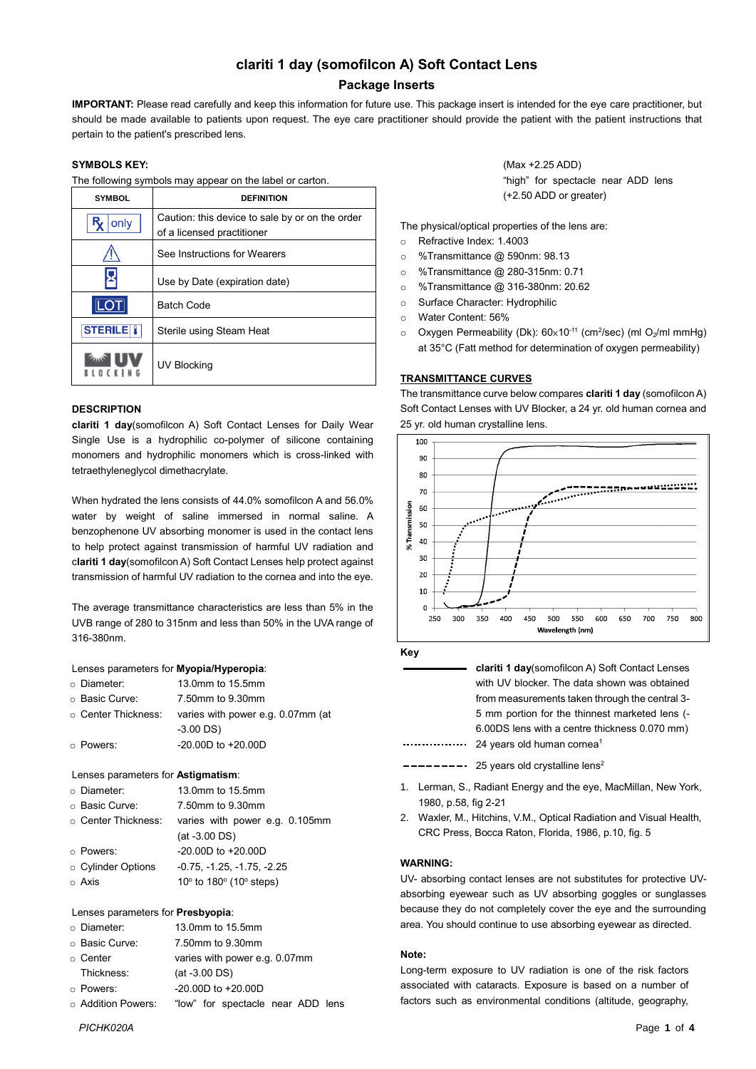# **clariti 1 day (somofilcon A) Soft Contact Lens**

# **Package Inserts**

**IMPORTANT:** Please read carefully and keep this information for future use. This package insert is intended for the eye care practitioner, but should be made available to patients upon request. The eye care practitioner should provide the patient with the patient instructions that pertain to the patient's prescribed lens.

# **SYMBOLS KEY:**

The following symbols may appear on the label or carton.

| <b>SYMBOL</b>    | <b>DEFINITION</b>                                                             |  |  |
|------------------|-------------------------------------------------------------------------------|--|--|
| only             | Caution: this device to sale by or on the order<br>of a licensed practitioner |  |  |
|                  | See Instructions for Wearers                                                  |  |  |
|                  | Use by Date (expiration date)                                                 |  |  |
|                  | <b>Batch Code</b>                                                             |  |  |
| <b>STERILE I</b> | Sterile using Steam Heat                                                      |  |  |
|                  | UV Blocking                                                                   |  |  |

## **DESCRIPTION**

**clariti 1 day**(somofilcon A) Soft Contact Lenses for Daily Wear Single Use is a hydrophilic co-polymer of silicone containing monomers and hydrophilic monomers which is cross-linked with tetraethyleneglycol dimethacrylate.

When hydrated the lens consists of 44.0% somofilcon A and 56.0% water by weight of saline immersed in normal saline. A benzophenone UV absorbing monomer is used in the contact lens to help protect against transmission of harmful UV radiation and c**lariti 1 day**(somofilcon A) Soft Contact Lenses help protect against transmission of harmful UV radiation to the cornea and into the eye.

The average transmittance characteristics are less than 5% in the UVB range of 280 to 315nm and less than 50% in the UVA range of 316-380nm.

#### Lenses parameters for **Myopia/Hyperopia**:

| ○ Diameter:                 | 13.0mm to 15.5mm                  |
|-----------------------------|-----------------------------------|
| ○ Basic Curve:              | 7.50mm to 9.30mm                  |
| $\circ\,$ Center Thickness: | varies with power e.g. 0.07mm (at |
|                             | $-3.00$ DS)                       |
| ⊙ Powers:                   | $-20.00D$ to $+20.00D$            |

#### Lenses parameters for **Astigmatism**:

| ○ Diameter:               | 13.0mm to 15.5mm                                   |
|---------------------------|----------------------------------------------------|
| o Basic Curve:            | 7.50mm to 9.30mm                                   |
| $\circ$ Center Thickness: | varies with power e.g. 0.105mm                     |
|                           | $(at -3.00 DS)$                                    |
| ○ Powers:                 | $-20.00D$ to $+20.00D$                             |
| ○ Cylinder Options        | $-0.75, -1.25, -1.75, -2.25$                       |
| $\circ$ Axis              | 10 $\degree$ to 180 $\degree$ (10 $\degree$ steps) |
|                           |                                                    |

## Lenses parameters for **Presbyopia**:

| ○ Diameter:              | 13.0mm to 15.5mm                  |  |  |  |
|--------------------------|-----------------------------------|--|--|--|
| ○ Basic Curve:           | 7.50mm to 9.30mm                  |  |  |  |
| ⊙ Center                 | varies with power e.g. 0.07mm     |  |  |  |
| Thickness:               | $(at -3.00 DS)$                   |  |  |  |
| ○ Powers:                | $-20.00D$ to $+20.00D$            |  |  |  |
| $\circ$ Addition Powers: | "low" for spectacle near ADD lens |  |  |  |

(Max +2.25 ADD) "high" for spectacle near ADD lens (+2.50 ADD or greater)

The physical/optical properties of the lens are:

- o Refractive Index: 1.4003
- o %Transmittance @ 590nm: 98.13
- o %Transmittance @ 280-315nm: 0.71
- o %Transmittance @ 316-380nm: 20.62
- o Surface Character: Hydrophilic
- o Water Content: 56%
- $\circ$  Oxygen Permeability (Dk):  $60 \times 10^{-11}$  (cm<sup>2</sup>/sec) (ml O<sub>2</sub>/ml mmHg) at 35°C (Fatt method for determination of oxygen permeability)

## **TRANSMITTANCE CURVES**

The transmittance curve below compares **clariti 1 day** (somofilcon A) Soft Contact Lenses with UV Blocker, a 24 yr. old human cornea and 25 yr. old human crystalline lens.





| <b>clariti 1 day</b> (somofilcon A) Soft Contact Lenses |
|---------------------------------------------------------|
| with UV blocker. The data shown was obtained            |
| from measurements taken through the central 3-          |
| 5 mm portion for the thinnest marketed lens (-          |
| 6.00DS lens with a centre thickness 0.070 mm)           |
| <br>24 years old human cornea <sup>1</sup>              |

 $\blacksquare$   $\blacksquare$   $\blacksquare$   $\blacksquare$   $\blacksquare$   $\blacksquare$   $\blacksquare$   $\blacksquare$   $\blacksquare$   $\blacksquare$   $\blacksquare$   $\blacksquare$   $\blacksquare$   $\blacksquare$   $\blacksquare$   $\blacksquare$   $\blacksquare$   $\blacksquare$   $\blacksquare$   $\blacksquare$   $\blacksquare$   $\blacksquare$   $\blacksquare$   $\blacksquare$   $\blacksquare$   $\blacksquare$   $\blacksquare$   $\blacksquare$   $\blacksquare$   $\blacksquare$   $\blacksquare$   $\blacks$ 

- 1. Lerman, S., Radiant Energy and the eye, MacMillan, New York, 1980, p.58, fig 2-21
- 2. Waxler, M., Hitchins, V.M., Optical Radiation and Visual Health, CRC Press, Bocca Raton, Florida, 1986, p.10, fig. 5

# **WARNING:**

UV- absorbing contact lenses are not substitutes for protective UVabsorbing eyewear such as UV absorbing goggles or sunglasses because they do not completely cover the eye and the surrounding area. You should continue to use absorbing eyewear as directed.

## **Note:**

Long-term exposure to UV radiation is one of the risk factors associated with cataracts. Exposure is based on a number of factors such as environmental conditions (altitude, geography,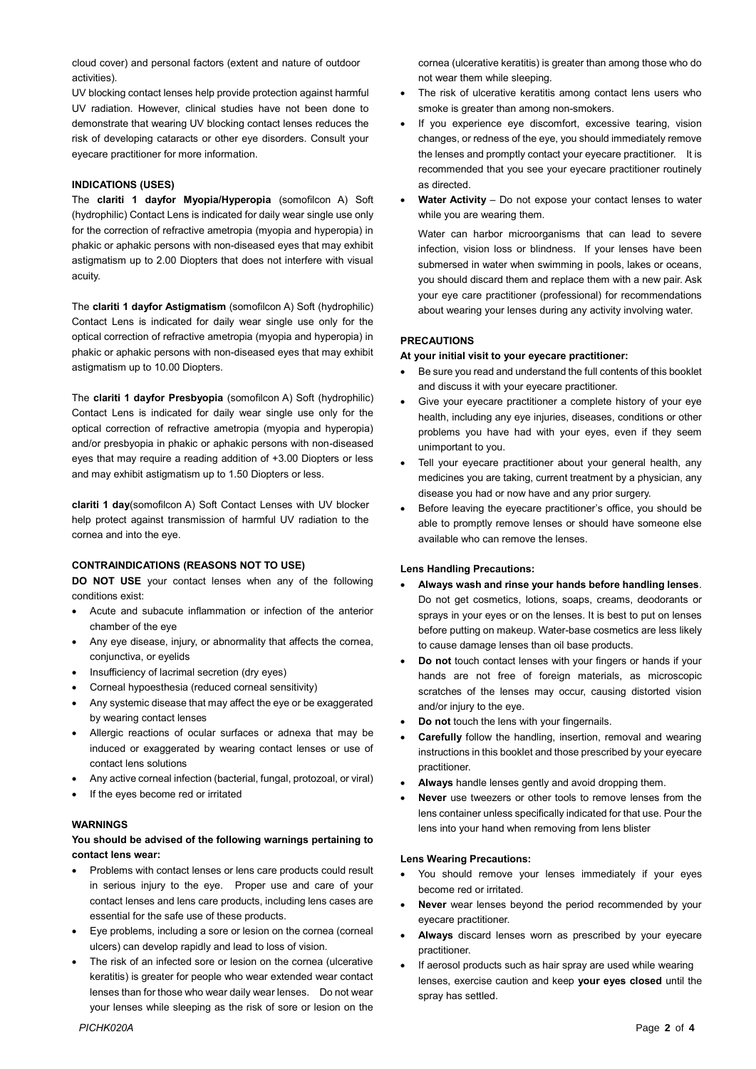cloud cover) and personal factors (extent and nature of outdoor activities).

UV blocking contact lenses help provide protection against harmful UV radiation. However, clinical studies have not been done to demonstrate that wearing UV blocking contact lenses reduces the risk of developing cataracts or other eye disorders. Consult your eyecare practitioner for more information.

## **INDICATIONS (USES)**

The **clariti 1 dayfor Myopia/Hyperopia** (somofilcon A) Soft (hydrophilic) Contact Lens is indicated for daily wear single use only for the correction of refractive ametropia (myopia and hyperopia) in phakic or aphakic persons with non-diseased eyes that may exhibit astigmatism up to 2.00 Diopters that does not interfere with visual acuity.

The **clariti 1 dayfor Astigmatism** (somofilcon A) Soft (hydrophilic) Contact Lens is indicated for daily wear single use only for the optical correction of refractive ametropia (myopia and hyperopia) in phakic or aphakic persons with non-diseased eyes that may exhibit astigmatism up to 10.00 Diopters.

The **clariti 1 dayfor Presbyopia** (somofilcon A) Soft (hydrophilic) Contact Lens is indicated for daily wear single use only for the optical correction of refractive ametropia (myopia and hyperopia) and/or presbyopia in phakic or aphakic persons with non-diseased eyes that may require a reading addition of +3.00 Diopters or less and may exhibit astigmatism up to 1.50 Diopters or less.

**clariti 1 day**(somofilcon A) Soft Contact Lenses with UV blocker help protect against transmission of harmful UV radiation to the cornea and into the eye.

### **CONTRAINDICATIONS (REASONS NOT TO USE)**

**DO NOT USE** your contact lenses when any of the following conditions exist:

- Acute and subacute inflammation or infection of the anterior chamber of the eye
- Any eye disease, injury, or abnormality that affects the cornea, conjunctiva, or eyelids
- Insufficiency of lacrimal secretion (dry eyes)
- Corneal hypoesthesia (reduced corneal sensitivity)
- Any systemic disease that may affect the eye or be exaggerated by wearing contact lenses
- Allergic reactions of ocular surfaces or adnexa that may be induced or exaggerated by wearing contact lenses or use of contact lens solutions
- Any active corneal infection (bacterial, fungal, protozoal, or viral)
- If the eyes become red or irritated

#### **WARNINGS**

# **You should be advised of the following warnings pertaining to contact lens wear:**

- Problems with contact lenses or lens care products could result in serious injury to the eye. Proper use and care of your contact lenses and lens care products, including lens cases are essential for the safe use of these products.
- Eye problems, including a sore or lesion on the cornea (corneal ulcers) can develop rapidly and lead to loss of vision.
- The risk of an infected sore or lesion on the cornea (ulcerative keratitis) is greater for people who wear extended wear contact lenses than for those who wear daily wear lenses. Do not wear your lenses while sleeping as the risk of sore or lesion on the

cornea (ulcerative keratitis) is greater than among those who do not wear them while sleeping.

- The risk of ulcerative keratitis among contact lens users who smoke is greater than among non-smokers.
- If you experience eye discomfort, excessive tearing, vision changes, or redness of the eye, you should immediately remove the lenses and promptly contact your eyecare practitioner. It is recommended that you see your eyecare practitioner routinely as directed.
- Water Activity Do not expose your contact lenses to water while you are wearing them.

Water can harbor microorganisms that can lead to severe infection, vision loss or blindness. If your lenses have been submersed in water when swimming in pools, lakes or oceans, you should discard them and replace them with a new pair. Ask your eye care practitioner (professional) for recommendations about wearing your lenses during any activity involving water.

# **PRECAUTIONS**

## **At your initial visit to your eyecare practitioner:**

- Be sure you read and understand the full contents of this booklet and discuss it with your eyecare practitioner.
- Give your eyecare practitioner a complete history of your eye health, including any eye injuries, diseases, conditions or other problems you have had with your eyes, even if they seem unimportant to you.
- Tell your eyecare practitioner about your general health, any medicines you are taking, current treatment by a physician, any disease you had or now have and any prior surgery.
- Before leaving the eyecare practitioner's office, you should be able to promptly remove lenses or should have someone else available who can remove the lenses.

#### **Lens Handling Precautions:**

- **Always wash and rinse your hands before handling lenses**. Do not get cosmetics, lotions, soaps, creams, deodorants or sprays in your eyes or on the lenses. It is best to put on lenses before putting on makeup. Water-base cosmetics are less likely to cause damage lenses than oil base products.
- **Do not** touch contact lenses with your fingers or hands if your hands are not free of foreign materials, as microscopic scratches of the lenses may occur, causing distorted vision and/or injury to the eye.
- **Do not** touch the lens with your fingernails.
- **Carefully** follow the handling, insertion, removal and wearing instructions in this booklet and those prescribed by your eyecare practitioner.
- **Always** handle lenses gently and avoid dropping them.
- **Never** use tweezers or other tools to remove lenses from the lens container unless specifically indicated for that use. Pour the lens into your hand when removing from lens blister

#### **Lens Wearing Precautions:**

- You should remove your lenses immediately if your eyes become red or irritated.
- **Never** wear lenses beyond the period recommended by your eyecare practitioner.
- **Always** discard lenses worn as prescribed by your eyecare practitioner.
- If aerosol products such as hair spray are used while wearing lenses, exercise caution and keep **your eyes closed** until the spray has settled.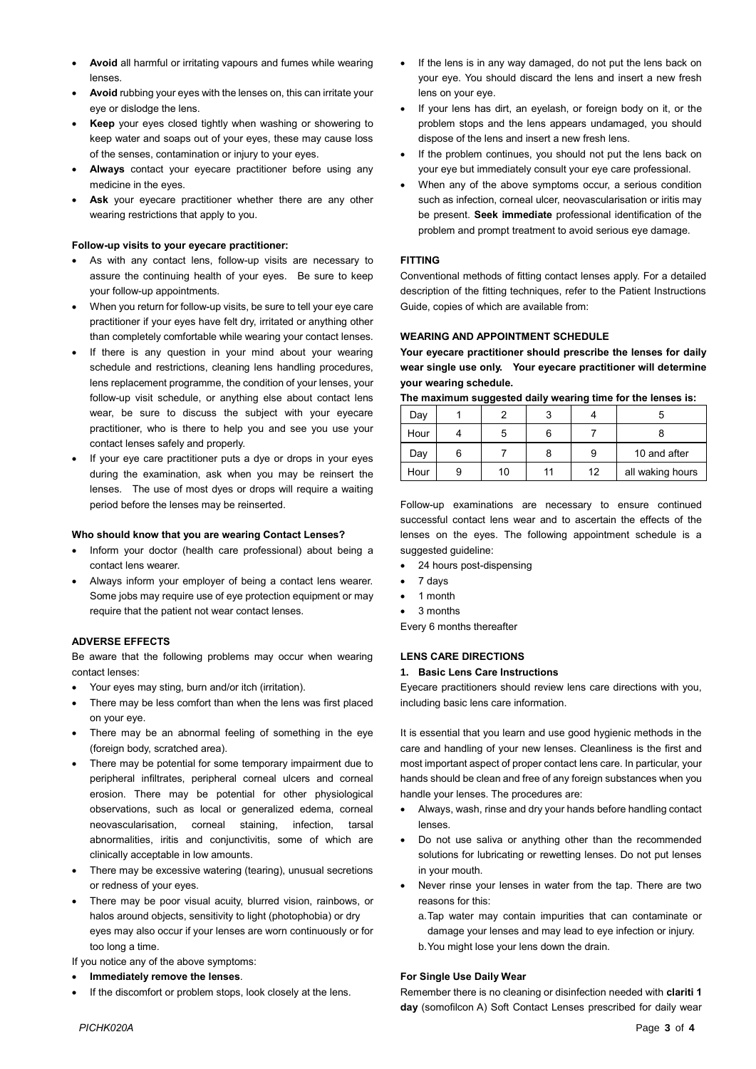- **Avoid** all harmful or irritating vapours and fumes while wearing lenses.
- **Avoid** rubbing your eyes with the lenses on, this can irritate your eye or dislodge the lens.
- **Keep** your eyes closed tightly when washing or showering to keep water and soaps out of your eyes, these may cause loss of the senses, contamination or injury to your eyes.
- **Always** contact your eyecare practitioner before using any medicine in the eyes.
- **Ask** your eyecare practitioner whether there are any other wearing restrictions that apply to you.

### **Follow-up visits to your eyecare practitioner:**

- As with any contact lens, follow-up visits are necessary to assure the continuing health of your eyes. Be sure to keep your follow-up appointments.
- When you return for follow-up visits, be sure to tell your eye care practitioner if your eyes have felt dry, irritated or anything other than completely comfortable while wearing your contact lenses.
- If there is any question in your mind about your wearing schedule and restrictions, cleaning lens handling procedures, lens replacement programme, the condition of your lenses, your follow-up visit schedule, or anything else about contact lens wear, be sure to discuss the subject with your eyecare practitioner, who is there to help you and see you use your contact lenses safely and properly.
- If your eye care practitioner puts a dye or drops in your eyes during the examination, ask when you may be reinsert the lenses. The use of most dyes or drops will require a waiting period before the lenses may be reinserted.

## **Who should know that you are wearing Contact Lenses?**

- Inform your doctor (health care professional) about being a contact lens wearer.
- Always inform your employer of being a contact lens wearer. Some jobs may require use of eye protection equipment or may require that the patient not wear contact lenses.

# **ADVERSE EFFECTS**

Be aware that the following problems may occur when wearing contact lenses:

- Your eyes may sting, burn and/or itch (irritation).
- There may be less comfort than when the lens was first placed on your eye.
- There may be an abnormal feeling of something in the eye (foreign body, scratched area).
- There may be potential for some temporary impairment due to peripheral infiltrates, peripheral corneal ulcers and corneal erosion. There may be potential for other physiological observations, such as local or generalized edema, corneal neovascularisation, corneal staining, infection, tarsal abnormalities, iritis and conjunctivitis, some of which are clinically acceptable in low amounts.
- There may be excessive watering (tearing), unusual secretions or redness of your eyes.
- There may be poor visual acuity, blurred vision, rainbows, or halos around objects, sensitivity to light (photophobia) or dry eyes may also occur if your lenses are worn continuously or for too long a time.

If you notice any of the above symptoms:

- **Immediately remove the lenses**.
- If the discomfort or problem stops, look closely at the lens.
- If the lens is in any way damaged, do not put the lens back on your eye. You should discard the lens and insert a new fresh lens on your eye.
- If your lens has dirt, an eyelash, or foreign body on it, or the problem stops and the lens appears undamaged, you should dispose of the lens and insert a new fresh lens.
- If the problem continues, you should not put the lens back on your eye but immediately consult your eye care professional.
- When any of the above symptoms occur, a serious condition such as infection, corneal ulcer, neovascularisation or iritis may be present. **Seek immediate** professional identification of the problem and prompt treatment to avoid serious eye damage.

## **FITTING**

Conventional methods of fitting contact lenses apply. For a detailed description of the fitting techniques, refer to the Patient Instructions Guide, copies of which are available from:

## **WEARING AND APPOINTMENT SCHEDULE**

**Your eyecare practitioner should prescribe the lenses for daily wear single use only. Your eyecare practitioner will determine your wearing schedule.**

**The maximum suggested daily wearing time for the lenses is:**

| Day  |    |    |                  |
|------|----|----|------------------|
| Hour |    |    |                  |
| Day  |    | 9  | 10 and after     |
| Hour | 10 | 12 | all waking hours |

Follow-up examinations are necessary to ensure continued successful contact lens wear and to ascertain the effects of the lenses on the eyes. The following appointment schedule is a suggested guideline:

- 24 hours post-dispensing
- 7 days
- 1 month
- 3 months

Every 6 months thereafter

# **LENS CARE DIRECTIONS**

#### **1. Basic Lens Care Instructions**

Eyecare practitioners should review lens care directions with you, including basic lens care information.

It is essential that you learn and use good hygienic methods in the care and handling of your new lenses. Cleanliness is the first and most important aspect of proper contact lens care. In particular, your hands should be clean and free of any foreign substances when you handle your lenses. The procedures are:

- Always, wash, rinse and dry your hands before handling contact lenses.
- Do not use saliva or anything other than the recommended solutions for lubricating or rewetting lenses. Do not put lenses in your mouth.
- Never rinse your lenses in water from the tap. There are two reasons for this:
	- a.Tap water may contain impurities that can contaminate or damage your lenses and may lead to eye infection or injury.
	- b.You might lose your lens down the drain.

# **For Single Use Daily Wear**

Remember there is no cleaning or disinfection needed with **clariti 1 day** (somofilcon A) Soft Contact Lenses prescribed for daily wear